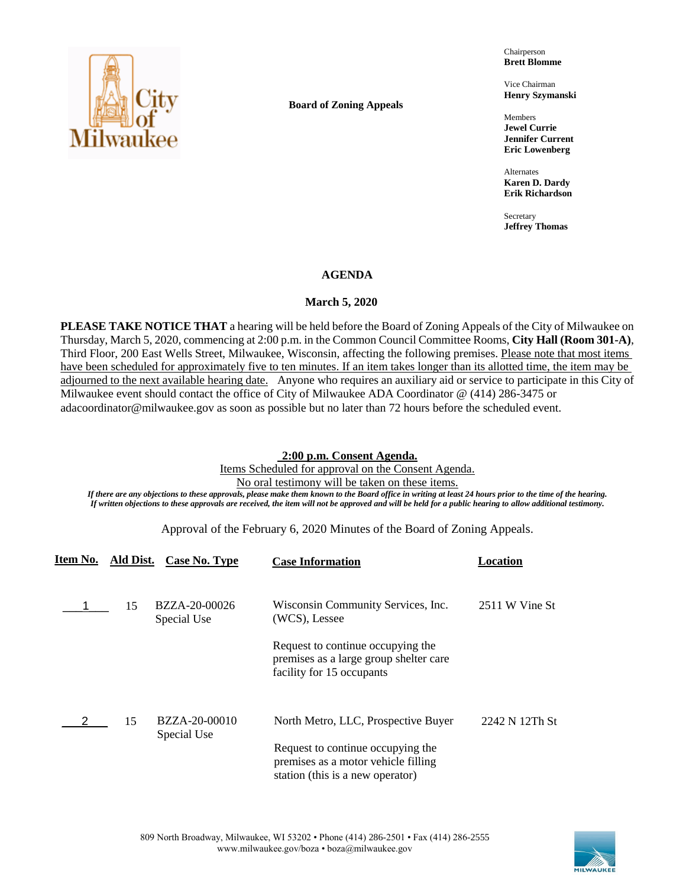

**Board of Zoning Appeals**

Chairperson **Brett Blomme**

Vice Chairman **Henry Szymanski**

Members **Jewel Currie Jennifer Current Eric Lowenberg**

Alternates **Karen D. Dardy Erik Richardson**

Secretary **Jeffrey Thomas**

## **AGENDA**

## **March 5, 2020**

**PLEASE TAKE NOTICE THAT** a hearing will be held before the Board of Zoning Appeals of the City of Milwaukee on Thursday, March 5, 2020, commencing at 2:00 p.m. in the Common Council Committee Rooms, **City Hall (Room 301-A)**, Third Floor, 200 East Wells Street, Milwaukee, Wisconsin, affecting the following premises. Please note that most items have been scheduled for approximately five to ten minutes. If an item takes longer than its allotted time, the item may be adjourned to the next available hearing date. Anyone who requires an auxiliary aid or service to participate in this City of Milwaukee event should contact the office of City of Milwaukee ADA Coordinator @ (414) 286-3475 or adacoordinator@milwaukee.gov as soon as possible but no later than 72 hours before the scheduled event.

## **2:00 p.m. Consent Agenda.**

Items Scheduled for approval on the Consent Agenda.

No oral testimony will be taken on these items.

*If there are any objections to these approvals, please make them known to the Board office in writing at least 24 hours prior to the time of the hearing. If written objections to these approvals are received, the item will not be approved and will be held for a public hearing to allow additional testimony.*

Approval of the February 6, 2020 Minutes of the Board of Zoning Appeals.

| Item No. | Ald Dist. | Case No. Type                | <b>Case Information</b>                                                                                      | Location       |
|----------|-----------|------------------------------|--------------------------------------------------------------------------------------------------------------|----------------|
|          | 15        | BZZA-20-00026                | Wisconsin Community Services, Inc.<br>(WCS), Lessee                                                          | 2511 W Vine St |
|          |           | Special Use                  |                                                                                                              |                |
|          |           |                              | Request to continue occupying the<br>premises as a large group shelter care<br>facility for 15 occupants     |                |
|          | 15        | BZZA-20-00010<br>Special Use | North Metro, LLC, Prospective Buyer                                                                          | 2242 N 12Th St |
|          |           |                              | Request to continue occupying the<br>premises as a motor vehicle filling<br>station (this is a new operator) |                |

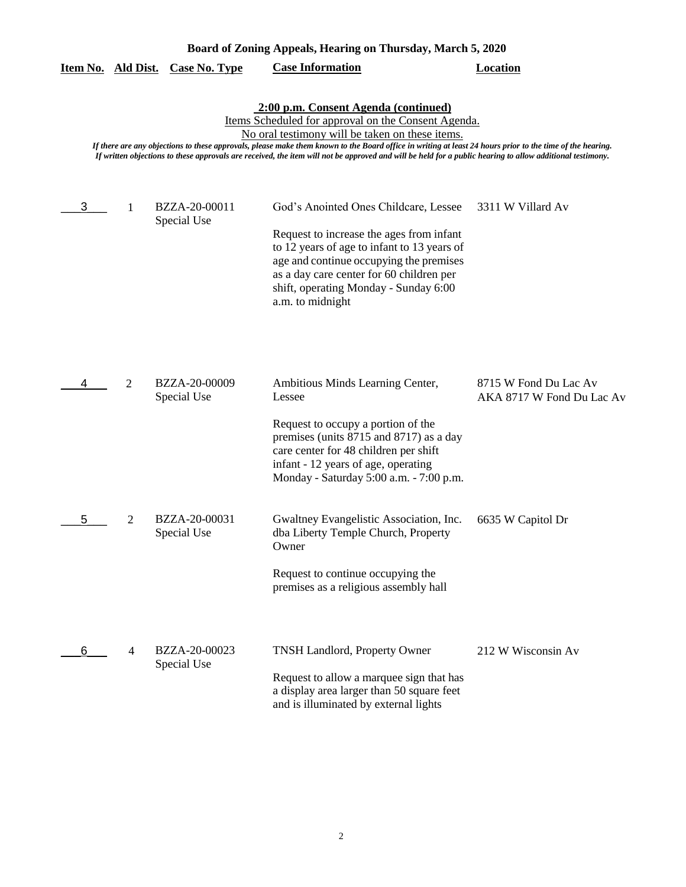| Board of Zoning Appeals, Hearing on Thursday, March 5, 2020 |   |                              |                                                                                                                                                                                                                                                                                                                                                                                                                                                                          |                                                    |
|-------------------------------------------------------------|---|------------------------------|--------------------------------------------------------------------------------------------------------------------------------------------------------------------------------------------------------------------------------------------------------------------------------------------------------------------------------------------------------------------------------------------------------------------------------------------------------------------------|----------------------------------------------------|
| Item No. Ald Dist.                                          |   | <b>Case No. Type</b>         | <b>Case Information</b>                                                                                                                                                                                                                                                                                                                                                                                                                                                  | <b>Location</b>                                    |
|                                                             |   |                              | 2:00 p.m. Consent Agenda (continued)<br>Items Scheduled for approval on the Consent Agenda.<br>No oral testimony will be taken on these items.<br>If there are any objections to these approvals, please make them known to the Board office in writing at least 24 hours prior to the time of the hearing.<br>If written objections to these approvals are received, the item will not be approved and will be held for a public hearing to allow additional testimony. |                                                    |
| 3                                                           | 1 | BZZA-20-00011<br>Special Use | God's Anointed Ones Childcare, Lessee<br>Request to increase the ages from infant<br>to 12 years of age to infant to 13 years of<br>age and continue occupying the premises<br>as a day care center for 60 children per<br>shift, operating Monday - Sunday 6:00<br>a.m. to midnight                                                                                                                                                                                     | 3311 W Villard Av                                  |
|                                                             | 2 | BZZA-20-00009<br>Special Use | Ambitious Minds Learning Center,<br>Lessee<br>Request to occupy a portion of the<br>premises (units 8715 and 8717) as a day<br>care center for 48 children per shift<br>infant - 12 years of age, operating<br>Monday - Saturday 5:00 a.m. - 7:00 p.m.                                                                                                                                                                                                                   | 8715 W Fond Du Lac Av<br>AKA 8717 W Fond Du Lac Av |
| 5                                                           | 2 | BZZA-20-00031<br>Special Use | Gwaltney Evangelistic Association, Inc.<br>dba Liberty Temple Church, Property<br>Owner<br>Request to continue occupying the<br>premises as a religious assembly hall                                                                                                                                                                                                                                                                                                    | 6635 W Capitol Dr                                  |
| 6                                                           | 4 | BZZA-20-00023<br>Special Use | <b>TNSH Landlord, Property Owner</b><br>Request to allow a marquee sign that has<br>a display area larger than 50 square feet<br>and is illuminated by external lights                                                                                                                                                                                                                                                                                                   | 212 W Wisconsin Av                                 |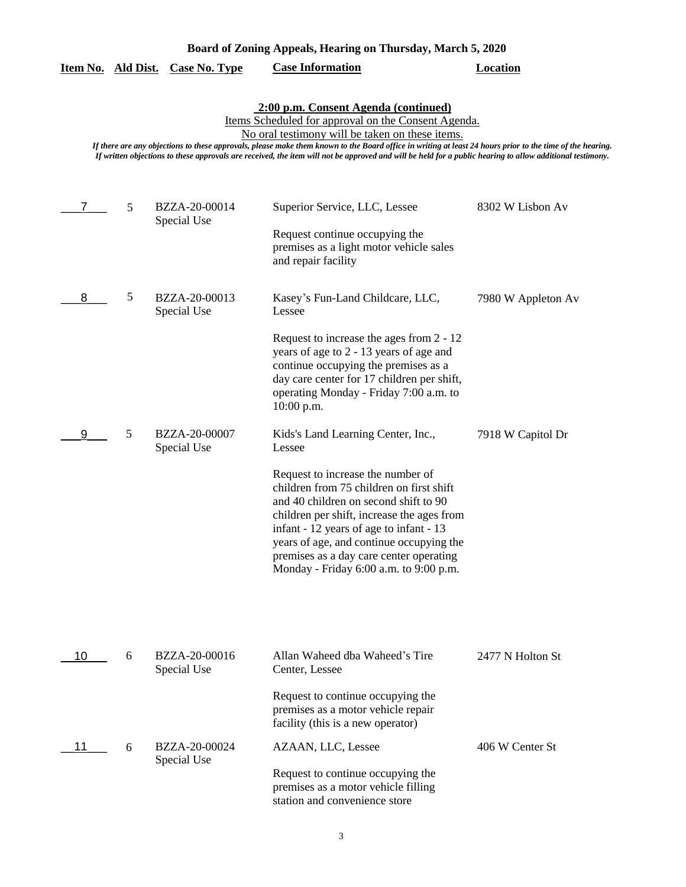|  | Board of Zoning Appeals, Hearing on Thursday, March 5, 2020 |  |
|--|-------------------------------------------------------------|--|
|  |                                                             |  |

|  | Item No. Ald Dist. Case No. Type | <b>Case Information</b> | Location |
|--|----------------------------------|-------------------------|----------|
|  |                                  |                         |          |

**2:00 p.m. Consent Agenda (continued)**

Items Scheduled for approval on the Consent Agenda.

No oral testimony will be taken on these items.

*If there are any objections to these approvals, please make them known to the Board office in writing at least 24 hours prior to the time of the hearing. If written objections to these approvals are received, the item will not be approved and will be held for a public hearing to allow additional testimony.*

|    | 5 | BZZA-20-00014<br>Special Use | Superior Service, LLC, Lessee<br>Request continue occupying the<br>premises as a light motor vehicle sales<br>and repair facility                                                                                                                                                                                                                                                                | 8302 W Lisbon Av   |
|----|---|------------------------------|--------------------------------------------------------------------------------------------------------------------------------------------------------------------------------------------------------------------------------------------------------------------------------------------------------------------------------------------------------------------------------------------------|--------------------|
| 8  | 5 | BZZA-20-00013<br>Special Use | Kasey's Fun-Land Childcare, LLC,<br>Lessee<br>Request to increase the ages from 2 - 12<br>years of age to 2 - 13 years of age and<br>continue occupying the premises as a<br>day care center for 17 children per shift,<br>operating Monday - Friday 7:00 a.m. to<br>$10:00$ p.m.                                                                                                                | 7980 W Appleton Av |
| 9  | 5 | BZZA-20-00007<br>Special Use | Kids's Land Learning Center, Inc.,<br>Lessee<br>Request to increase the number of<br>children from 75 children on first shift<br>and 40 children on second shift to 90<br>children per shift, increase the ages from<br>infant - 12 years of age to infant - 13<br>years of age, and continue occupying the<br>premises as a day care center operating<br>Monday - Friday 6:00 a.m. to 9:00 p.m. | 7918 W Capitol Dr  |
| 10 | 6 | BZZA-20-00016<br>Special Use | Allan Waheed dba Waheed's Tire<br>Center, Lessee<br>Request to continue occupying the<br>premises as a motor vehicle repair<br>facility (this is a new operator)                                                                                                                                                                                                                                 | 2477 N Holton St   |
| 11 | 6 | BZZA-20-00024<br>Special Use | AZAAN, LLC, Lessee<br>Request to continue occupying the<br>premises as a motor vehicle filling<br>station and convenience store                                                                                                                                                                                                                                                                  | 406 W Center St    |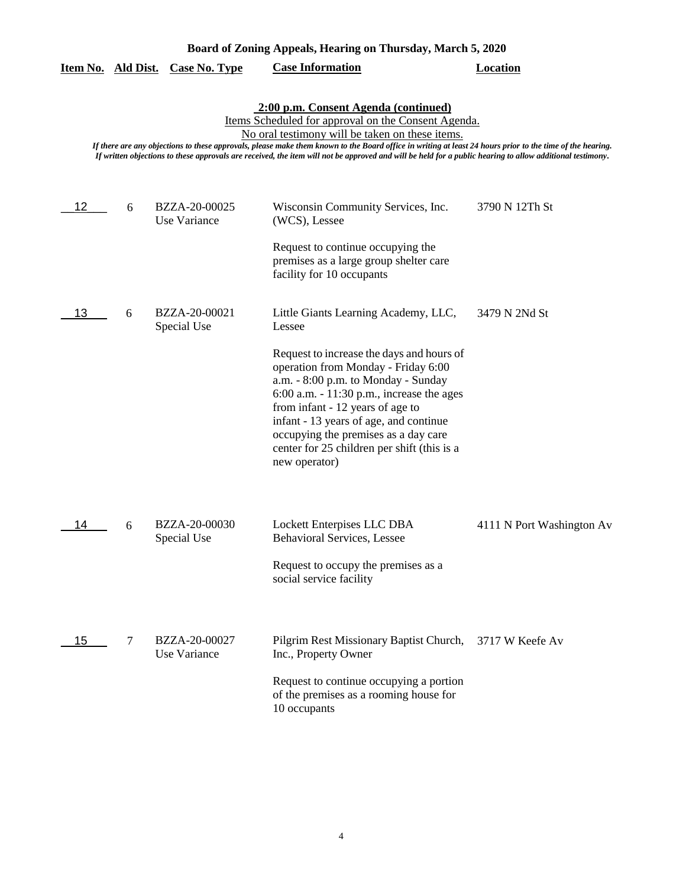|    |                                                                                                                                                                                                                                                                                                                                                                                                                                                                          | <u>Item No. Ald Dist. Case No. Type</u> | <b>Case Information</b>                                                                                                                                                                                                                                                                                                                                                                                         | Location                  |  |  |
|----|--------------------------------------------------------------------------------------------------------------------------------------------------------------------------------------------------------------------------------------------------------------------------------------------------------------------------------------------------------------------------------------------------------------------------------------------------------------------------|-----------------------------------------|-----------------------------------------------------------------------------------------------------------------------------------------------------------------------------------------------------------------------------------------------------------------------------------------------------------------------------------------------------------------------------------------------------------------|---------------------------|--|--|
|    | 2:00 p.m. Consent Agenda (continued)<br>Items Scheduled for approval on the Consent Agenda.<br>No oral testimony will be taken on these items.<br>If there are any objections to these approvals, please make them known to the Board office in writing at least 24 hours prior to the time of the hearing.<br>If written objections to these approvals are received, the item will not be approved and will be held for a public hearing to allow additional testimony. |                                         |                                                                                                                                                                                                                                                                                                                                                                                                                 |                           |  |  |
| 12 | 6                                                                                                                                                                                                                                                                                                                                                                                                                                                                        | BZZA-20-00025<br>Use Variance           | Wisconsin Community Services, Inc.<br>(WCS), Lessee<br>Request to continue occupying the<br>premises as a large group shelter care<br>facility for 10 occupants                                                                                                                                                                                                                                                 | 3790 N 12Th St            |  |  |
| 13 | 6                                                                                                                                                                                                                                                                                                                                                                                                                                                                        | BZZA-20-00021<br>Special Use            | Little Giants Learning Academy, LLC,<br>Lessee<br>Request to increase the days and hours of<br>operation from Monday - Friday 6:00<br>a.m. - 8:00 p.m. to Monday - Sunday<br>$6:00$ a.m. $-11:30$ p.m., increase the ages<br>from infant - 12 years of age to<br>infant - 13 years of age, and continue<br>occupying the premises as a day care<br>center for 25 children per shift (this is a<br>new operator) | 3479 N 2Nd St             |  |  |
| 14 | 6                                                                                                                                                                                                                                                                                                                                                                                                                                                                        | BZZA-20-00030<br>Special Use            | Lockett Enterpises LLC DBA<br><b>Behavioral Services, Lessee</b><br>Request to occupy the premises as a<br>social service facility                                                                                                                                                                                                                                                                              | 4111 N Port Washington Av |  |  |
| 15 | 7                                                                                                                                                                                                                                                                                                                                                                                                                                                                        | BZZA-20-00027<br>Use Variance           | Pilgrim Rest Missionary Baptist Church,<br>Inc., Property Owner<br>Request to continue occupying a portion<br>of the premises as a rooming house for<br>10 occupants                                                                                                                                                                                                                                            | 3717 W Keefe Av           |  |  |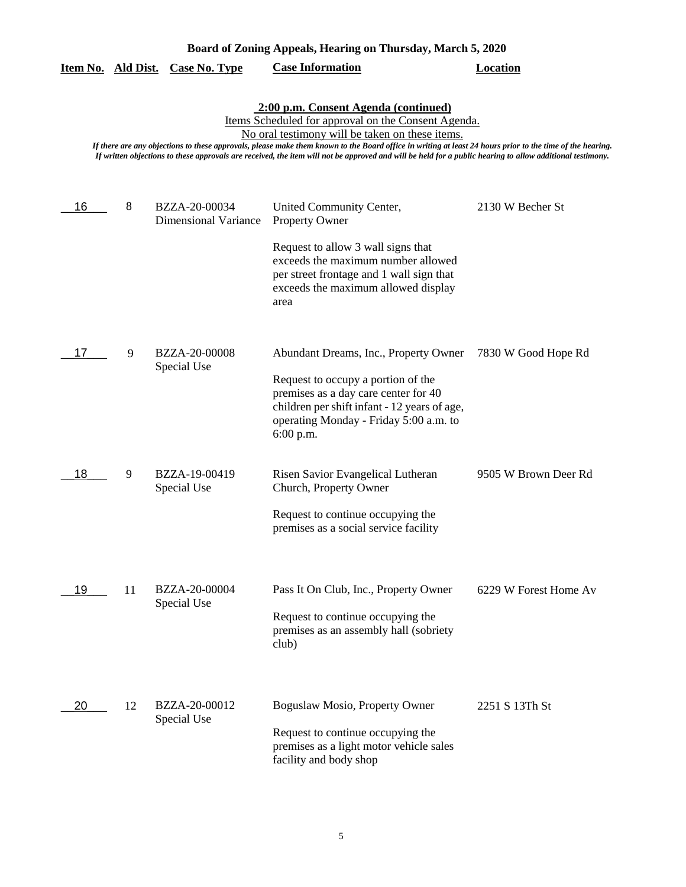|                                                                                                                                                                                                                                                                                                                                                                                                                                                                          |    | <u>Item No. Ald Dist. Case No. Type</u>      | <b>Case Information</b>                                                                                                                                                                                                    | <b>Location</b>       |  |  |
|--------------------------------------------------------------------------------------------------------------------------------------------------------------------------------------------------------------------------------------------------------------------------------------------------------------------------------------------------------------------------------------------------------------------------------------------------------------------------|----|----------------------------------------------|----------------------------------------------------------------------------------------------------------------------------------------------------------------------------------------------------------------------------|-----------------------|--|--|
| 2:00 p.m. Consent Agenda (continued)<br>Items Scheduled for approval on the Consent Agenda.<br>No oral testimony will be taken on these items.<br>If there are any objections to these approvals, please make them known to the Board office in writing at least 24 hours prior to the time of the hearing.<br>If written objections to these approvals are received, the item will not be approved and will be held for a public hearing to allow additional testimony. |    |                                              |                                                                                                                                                                                                                            |                       |  |  |
| 16                                                                                                                                                                                                                                                                                                                                                                                                                                                                       | 8  | BZZA-20-00034<br><b>Dimensional Variance</b> | United Community Center,<br><b>Property Owner</b><br>Request to allow 3 wall signs that<br>exceeds the maximum number allowed<br>per street frontage and 1 wall sign that<br>exceeds the maximum allowed display<br>area   | 2130 W Becher St      |  |  |
| 17                                                                                                                                                                                                                                                                                                                                                                                                                                                                       | 9  | <b>BZZA-20-00008</b><br>Special Use          | Abundant Dreams, Inc., Property Owner<br>Request to occupy a portion of the<br>premises as a day care center for 40<br>children per shift infant - 12 years of age,<br>operating Monday - Friday 5:00 a.m. to<br>6:00 p.m. | 7830 W Good Hope Rd   |  |  |
| 18                                                                                                                                                                                                                                                                                                                                                                                                                                                                       | 9  | BZZA-19-00419<br>Special Use                 | Risen Savior Evangelical Lutheran<br>Church, Property Owner<br>Request to continue occupying the<br>premises as a social service facility                                                                                  | 9505 W Brown Deer Rd  |  |  |
| 19                                                                                                                                                                                                                                                                                                                                                                                                                                                                       | 11 | BZZA-20-00004<br>Special Use                 | Pass It On Club, Inc., Property Owner<br>Request to continue occupying the<br>premises as an assembly hall (sobriety<br>club)                                                                                              | 6229 W Forest Home Av |  |  |
| 20                                                                                                                                                                                                                                                                                                                                                                                                                                                                       | 12 | BZZA-20-00012<br>Special Use                 | Boguslaw Mosio, Property Owner<br>Request to continue occupying the<br>premises as a light motor vehicle sales<br>facility and body shop                                                                                   | 2251 S 13Th St        |  |  |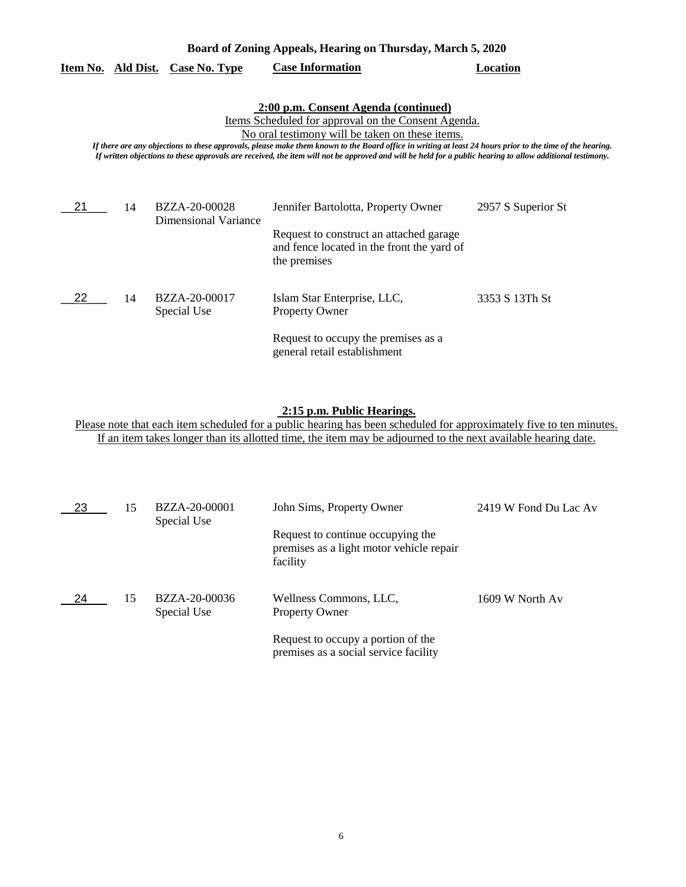| Board of Zoning Appeals, Hearing on Thursday, March 5, 2020                                                                                                                                                                                                                                                                                                                                                                                                              |    |                                              |                                                                                                                                              |                    |
|--------------------------------------------------------------------------------------------------------------------------------------------------------------------------------------------------------------------------------------------------------------------------------------------------------------------------------------------------------------------------------------------------------------------------------------------------------------------------|----|----------------------------------------------|----------------------------------------------------------------------------------------------------------------------------------------------|--------------------|
| Item No. Ald Dist.                                                                                                                                                                                                                                                                                                                                                                                                                                                       |    | <b>Case No. Type</b>                         | <b>Case Information</b>                                                                                                                      | Location           |
| 2:00 p.m. Consent Agenda (continued)<br>Items Scheduled for approval on the Consent Agenda.<br>No oral testimony will be taken on these items.<br>If there are any objections to these approvals, please make them known to the Board office in writing at least 24 hours prior to the time of the hearing.<br>If written objections to these approvals are received, the item will not be approved and will be held for a public hearing to allow additional testimony. |    |                                              |                                                                                                                                              |                    |
| 21                                                                                                                                                                                                                                                                                                                                                                                                                                                                       | 14 | BZZA-20-00028<br><b>Dimensional Variance</b> | Jennifer Bartolotta, Property Owner<br>Request to construct an attached garage<br>and fence located in the front the yard of<br>the premises | 2957 S Superior St |
| 22                                                                                                                                                                                                                                                                                                                                                                                                                                                                       | 14 | BZZA-20-00017<br>Special Use                 | Islam Star Enterprise, LLC,<br><b>Property Owner</b><br>Request to occupy the premises as a<br>general retail establishment                  | 3353 S 13Th St     |

## **2:15 p.m. Public Hearings.**

Please note that each item scheduled for a public hearing has been scheduled for approximately five to ten minutes. If an item takes longer than its allotted time, the item may be adjourned to the next available hearing date.

| 23  | 15 | BZZA-20-00001<br>Special Use | John Sims, Property Owner                                                                 | 2419 W Fond Du Lac Av |
|-----|----|------------------------------|-------------------------------------------------------------------------------------------|-----------------------|
|     |    |                              | Request to continue occupying the<br>premises as a light motor vehicle repair<br>facility |                       |
| -24 | 15 | BZZA-20-00036<br>Special Use | Wellness Commons, LLC,<br><b>Property Owner</b>                                           | 1609 W North Av       |
|     |    |                              | Request to occupy a portion of the<br>premises as a social service facility               |                       |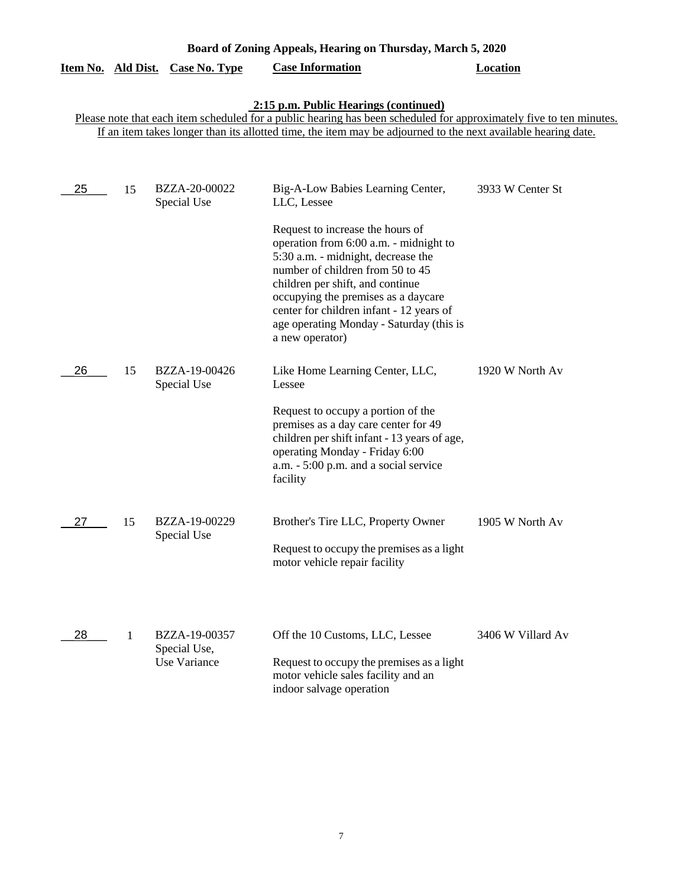| Board of Zoning Appeals, Hearing on Thursday, March 5, 2020 |    |                                               |                                                                                                                                                                                                                                                                                                                                                                                                |                   |
|-------------------------------------------------------------|----|-----------------------------------------------|------------------------------------------------------------------------------------------------------------------------------------------------------------------------------------------------------------------------------------------------------------------------------------------------------------------------------------------------------------------------------------------------|-------------------|
| Item No. Ald Dist.                                          |    | <b>Case No. Type</b>                          | <b>Case Information</b>                                                                                                                                                                                                                                                                                                                                                                        | <b>Location</b>   |
|                                                             |    |                                               | 2:15 p.m. Public Hearings (continued)<br>Please note that each item scheduled for a public hearing has been scheduled for approximately five to ten minutes.<br>If an item takes longer than its allotted time, the item may be adjourned to the next available hearing date.                                                                                                                  |                   |
| 25                                                          | 15 | BZZA-20-00022<br>Special Use                  | Big-A-Low Babies Learning Center,<br>LLC, Lessee<br>Request to increase the hours of<br>operation from 6:00 a.m. - midnight to<br>5:30 a.m. - midnight, decrease the<br>number of children from 50 to 45<br>children per shift, and continue<br>occupying the premises as a daycare<br>center for children infant - 12 years of<br>age operating Monday - Saturday (this is<br>a new operator) | 3933 W Center St  |
| 26                                                          | 15 | BZZA-19-00426<br>Special Use                  | Like Home Learning Center, LLC,<br>Lessee<br>Request to occupy a portion of the<br>premises as a day care center for 49<br>children per shift infant - 13 years of age,<br>operating Monday - Friday 6:00<br>a.m. - 5:00 p.m. and a social service<br>facility                                                                                                                                 | 1920 W North Av   |
| 27                                                          | 15 | BZZA-19-00229<br>Special Use                  | Brother's Tire LLC, Property Owner<br>Request to occupy the premises as a light<br>motor vehicle repair facility                                                                                                                                                                                                                                                                               | 1905 W North Av   |
| 28                                                          | 1  | BZZA-19-00357<br>Special Use,<br>Use Variance | Off the 10 Customs, LLC, Lessee<br>Request to occupy the premises as a light<br>motor vehicle sales facility and an<br>indoor salvage operation                                                                                                                                                                                                                                                | 3406 W Villard Av |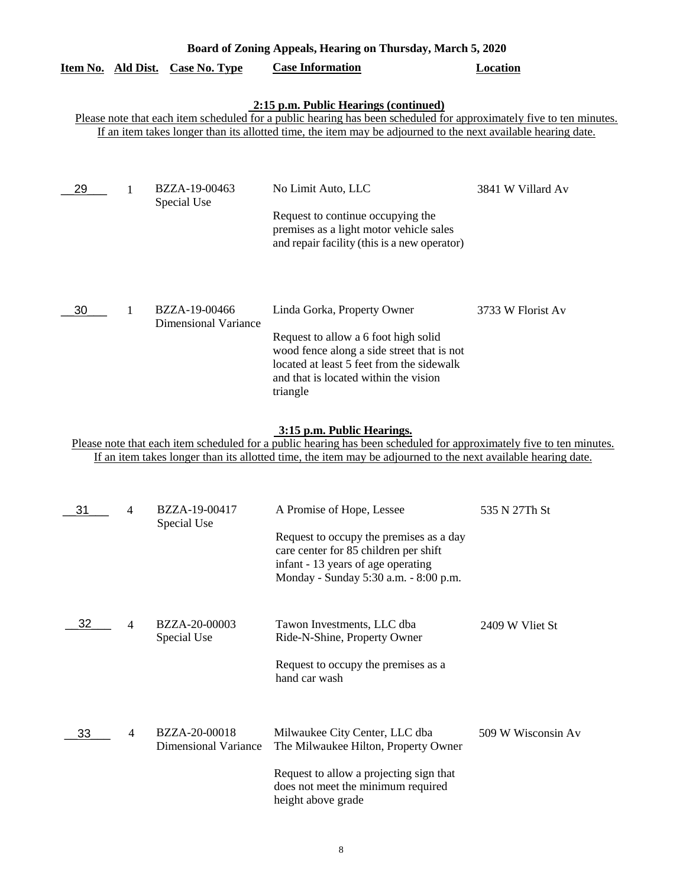| Board of Zoning Appeals, Hearing on Thursday, March 5, 2020                                                                                                                                                                                                                   |   |                                         |                                                                                                                                                                                                                     |                   |  |
|-------------------------------------------------------------------------------------------------------------------------------------------------------------------------------------------------------------------------------------------------------------------------------|---|-----------------------------------------|---------------------------------------------------------------------------------------------------------------------------------------------------------------------------------------------------------------------|-------------------|--|
|                                                                                                                                                                                                                                                                               |   | <u>Item No. Ald Dist. Case No. Type</u> | <b>Case Information</b>                                                                                                                                                                                             | <b>Location</b>   |  |
| 2:15 p.m. Public Hearings (continued)<br>Please note that each item scheduled for a public hearing has been scheduled for approximately five to ten minutes.<br>If an item takes longer than its allotted time, the item may be adjourned to the next available hearing date. |   |                                         |                                                                                                                                                                                                                     |                   |  |
| 29                                                                                                                                                                                                                                                                            | 1 | BZZA-19-00463<br>Special Use            | No Limit Auto, LLC<br>Request to continue occupying the<br>premises as a light motor vehicle sales<br>and repair facility (this is a new operator)                                                                  | 3841 W Villard Av |  |
| 30                                                                                                                                                                                                                                                                            |   | BZZA-19-00466<br>Dimensional Variance   | Linda Gorka, Property Owner<br>Request to allow a 6 foot high solid<br>wood fence along a side street that is not<br>located at least 5 feet from the sidewalk<br>and that is located within the vision<br>triangle | 3733 W Florist Av |  |

**3:15 p.m. Public Hearings.**

Please note that each item scheduled for a public hearing has been scheduled for approximately five to ten minutes. If an item takes longer than its allotted time, the item may be adjourned to the next available hearing date.

| 31 | 4              | BZZA-19-00417<br>Special Use                 | A Promise of Hope, Lessee                                                                                                                                       | 535 N 27Th St      |
|----|----------------|----------------------------------------------|-----------------------------------------------------------------------------------------------------------------------------------------------------------------|--------------------|
|    |                |                                              | Request to occupy the premises as a day<br>care center for 85 children per shift<br>infant - 13 years of age operating<br>Monday - Sunday 5:30 a.m. - 8:00 p.m. |                    |
| 32 | 4              | <b>BZZA-20-00003</b><br>Special Use          | Tawon Investments, LLC dba<br>Ride-N-Shine, Property Owner                                                                                                      | 2409 W Vliet St    |
|    |                |                                              | Request to occupy the premises as a<br>hand car wash                                                                                                            |                    |
| 33 | $\overline{4}$ | BZZA-20-00018<br><b>Dimensional Variance</b> | Milwaukee City Center, LLC dba<br>The Milwaukee Hilton, Property Owner                                                                                          | 509 W Wisconsin Av |
|    |                |                                              | Request to allow a projecting sign that<br>does not meet the minimum required<br>height above grade                                                             |                    |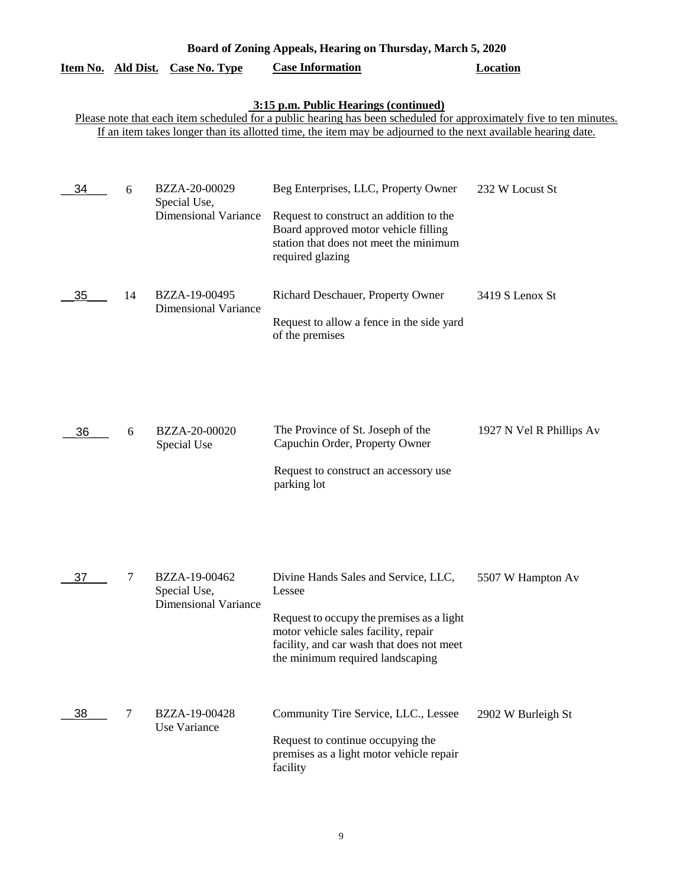|                           |    |                                                              | Board of Zoning Appeals, Hearing on Thursday, March 5, 2020                                                                                                                                                          |                          |
|---------------------------|----|--------------------------------------------------------------|----------------------------------------------------------------------------------------------------------------------------------------------------------------------------------------------------------------------|--------------------------|
| <u>Item No. Ald Dist.</u> |    | <b>Case No. Type</b>                                         | <b>Case Information</b>                                                                                                                                                                                              | <b>Location</b>          |
|                           |    |                                                              | <b>3:15 p.m. Public Hearings (continued)</b><br>Please note that each item scheduled for a public hearing has been scheduled for approximately five to ten minutes.                                                  |                          |
|                           |    |                                                              | If an item takes longer than its allotted time, the item may be adjourned to the next available hearing date.                                                                                                        |                          |
|                           |    |                                                              |                                                                                                                                                                                                                      |                          |
| 34                        | 6  | BZZA-20-00029<br>Special Use,<br><b>Dimensional Variance</b> | Beg Enterprises, LLC, Property Owner                                                                                                                                                                                 | 232 W Locust St          |
|                           |    |                                                              | Request to construct an addition to the<br>Board approved motor vehicle filling<br>station that does not meet the minimum<br>required glazing                                                                        |                          |
| 35                        | 14 | BZZA-19-00495<br><b>Dimensional Variance</b>                 | Richard Deschauer, Property Owner                                                                                                                                                                                    | 3419 S Lenox St          |
|                           |    |                                                              | Request to allow a fence in the side yard<br>of the premises                                                                                                                                                         |                          |
| 36                        | 6  | BZZA-20-00020<br>Special Use                                 | The Province of St. Joseph of the<br>Capuchin Order, Property Owner<br>Request to construct an accessory use<br>parking lot                                                                                          | 1927 N Vel R Phillips Av |
| 37                        | 7  | BZZA-19-00462<br>Special Use,<br><b>Dimensional Variance</b> | Divine Hands Sales and Service, LLC,<br>Lessee<br>Request to occupy the premises as a light<br>motor vehicle sales facility, repair<br>facility, and car wash that does not meet<br>the minimum required landscaping | 5507 W Hampton Av        |
| 38                        | 7  | BZZA-19-00428<br>Use Variance                                | Community Tire Service, LLC., Lessee<br>Request to continue occupying the<br>premises as a light motor vehicle repair<br>facility                                                                                    | 2902 W Burleigh St       |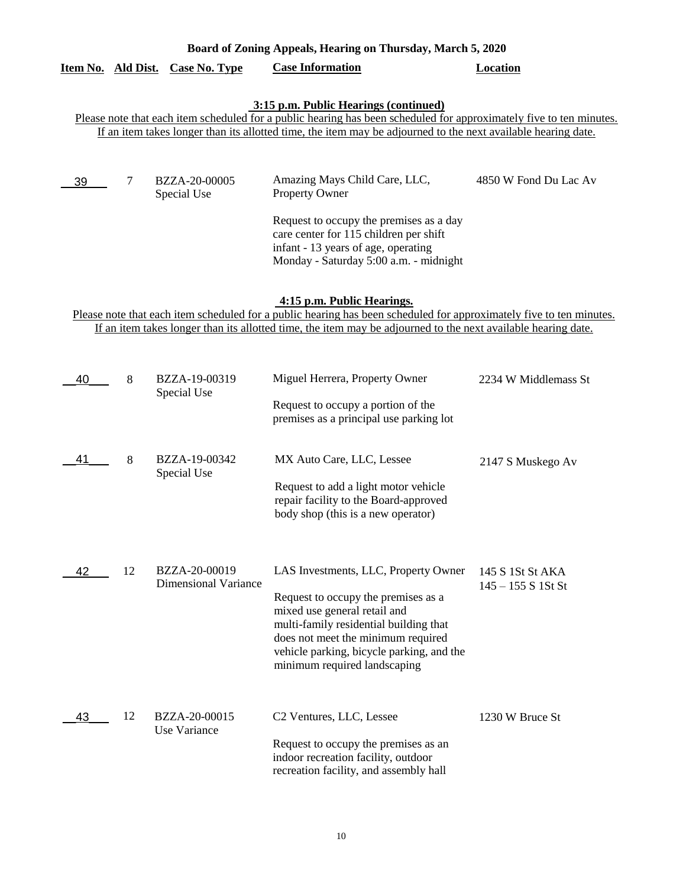|                                                                                                                                                                                                                                                                    |    |                                              | <b>3:15 p.m. Public Hearings (continued)</b>                                                                                                                                                                                                                             |                                          |  |  |  |  |
|--------------------------------------------------------------------------------------------------------------------------------------------------------------------------------------------------------------------------------------------------------------------|----|----------------------------------------------|--------------------------------------------------------------------------------------------------------------------------------------------------------------------------------------------------------------------------------------------------------------------------|------------------------------------------|--|--|--|--|
| Please note that each item scheduled for a public hearing has been scheduled for approximately five to ten minutes.<br>If an item takes longer than its allotted time, the item may be adjourned to the next available hearing date.                               |    |                                              |                                                                                                                                                                                                                                                                          |                                          |  |  |  |  |
|                                                                                                                                                                                                                                                                    |    |                                              |                                                                                                                                                                                                                                                                          |                                          |  |  |  |  |
| 39                                                                                                                                                                                                                                                                 | 7  | BZZA-20-00005<br>Special Use                 | Amazing Mays Child Care, LLC,<br>Property Owner                                                                                                                                                                                                                          | 4850 W Fond Du Lac Av                    |  |  |  |  |
|                                                                                                                                                                                                                                                                    |    |                                              | Request to occupy the premises as a day<br>care center for 115 children per shift<br>infant - 13 years of age, operating<br>Monday - Saturday 5:00 a.m. - midnight                                                                                                       |                                          |  |  |  |  |
| 4:15 p.m. Public Hearings.<br>Please note that each item scheduled for a public hearing has been scheduled for approximately five to ten minutes.<br>If an item takes longer than its allotted time, the item may be adjourned to the next available hearing date. |    |                                              |                                                                                                                                                                                                                                                                          |                                          |  |  |  |  |
| 40                                                                                                                                                                                                                                                                 | 8  | BZZA-19-00319<br>Special Use                 | Miguel Herrera, Property Owner<br>Request to occupy a portion of the<br>premises as a principal use parking lot                                                                                                                                                          | 2234 W Middlemass St                     |  |  |  |  |
| 41                                                                                                                                                                                                                                                                 | 8  | BZZA-19-00342<br>Special Use                 | MX Auto Care, LLC, Lessee<br>Request to add a light motor vehicle<br>repair facility to the Board-approved<br>body shop (this is a new operator)                                                                                                                         | 2147 S Muskego Av                        |  |  |  |  |
| 42                                                                                                                                                                                                                                                                 | 12 | BZZA-20-00019<br><b>Dimensional Variance</b> | LAS Investments, LLC, Property Owner<br>Request to occupy the premises as a<br>mixed use general retail and<br>multi-family residential building that<br>does not meet the minimum required<br>vehicle parking, bicycle parking, and the<br>minimum required landscaping | 145 S 1St St AKA<br>$145 - 155 S$ 1St St |  |  |  |  |
| 43                                                                                                                                                                                                                                                                 | 12 | BZZA-20-00015<br>Use Variance                | C2 Ventures, LLC, Lessee<br>Request to occupy the premises as an<br>indoor recreation facility, outdoor<br>recreation facility, and assembly hall                                                                                                                        | 1230 W Bruce St                          |  |  |  |  |

**Item No. Ald Dist. Case No. Type Case Information Location**